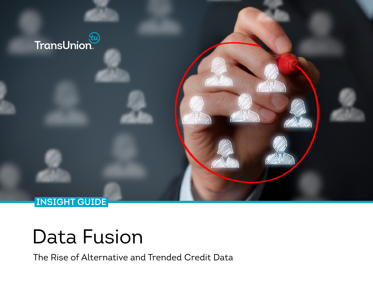

# Data Fusion

The Rise of Alternative and Trended Credit Data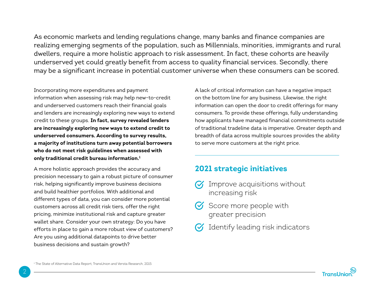As economic markets and lending regulations change, many banks and finance companies are realizing emerging segments of the population, such as Millennials, minorities, immigrants and rural dwellers, require a more holistic approach to risk assessment. In fact, these cohorts are heavily underserved yet could greatly benefit from access to quality financial services. Secondly, there may be a significant increase in potential customer universe when these consumers can be scored.

Incorporating more expenditures and payment information when assessing risk may help new-to-credit and underserved customers reach their financial goals and lenders are increasingly exploring new ways to extend credit to these groups. **In fact, survey revealed lenders are increasingly exploring new ways to extend credit to underserved consumers. According to survey results, a majority of institutions turn away potential borrowers who do not meet risk guidelines when assessed with only traditional credit bureau information.1**

A more holistic approach provides the accuracy and precision necessary to gain a robust picture of consumer risk, helping significantly improve business decisions and build healthier portfolios. With additional and different types of data, you can consider more potential customers across all credit risk tiers, offer the right pricing, minimize institutional risk and capture greater wallet share. Consider your own strategy: Do you have efforts in place to gain a more robust view of customers? Are you using additional datapoints to drive better business decisions and sustain growth?

A lack of critical information can have a negative impact on the bottom line for any business. Likewise, the right information can open the door to credit offerings for many consumers. To provide these offerings, fully understanding how applicants have managed financial commitments outside of traditional tradeline data is imperative. Greater depth and breadth of data across multiple sources provides the ability to serve more customers at the right price.

#### **2021 strategic initiatives**

- Improve acquisitions without increasing risk
- Score more people with greater precision
- Identify leading risk indicators

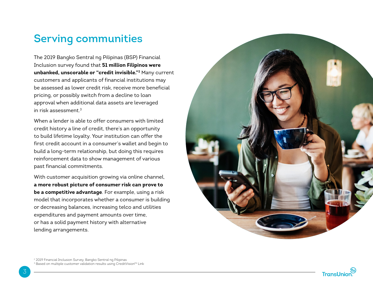## **Serving communities**

The 2019 Bangko Sentral ng Pilipinas (BSP) Financial Inclusion survey found that **51 million Filipinos were unbanked, unscorable or "credit invisible."2** Many current customers and applicants of financial institutions may be assessed as lower credit risk, receive more beneficial pricing, or possibly switch from a decline to loan approval when additional data assets are leveraged in risk assessment. $3$ 

When a lender is able to offer consumers with limited credit history a line of credit, there's an opportunity to build lifetime loyalty. Your institution can offer the first credit account in a consumer's wallet and begin to build a long-term relationship, but doing this requires reinforcement data to show management of various past financial commitments.

With customer acquisition growing via online channel, **a more robust picture of consumer risk can prove to be a competitive advantage**. For example, using a risk model that incorporates whether a consumer is building or decreasing balances, increasing telco and utilities expenditures and payment amounts over time, or has a solid payment history with alternative lending arrangements.



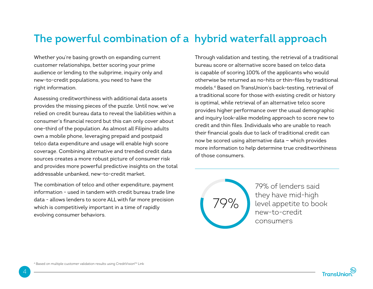# **The powerful combination of a hybrid waterfall approach**

Whether you're basing growth on expanding current customer relationships, better scoring your prime audience or lending to the subprime, inquiry only and new-to-credit populations, you need to have the right information.

Assessing creditworthiness with additional data assets provides the missing pieces of the puzzle. Until now, we've relied on credit bureau data to reveal the liabilities within a consumer's financial record but this can only cover about one-third of the population. As almost all Filipino adults own a mobile phone, leveraging prepaid and postpaid telco data expenditure and usage will enable high score coverage. Combining alternative and trended credit data sources creates a more robust picture of consumer risk and provides more powerful predictive insights on the total addressable unbanked, new-to-credit market.

The combination of telco and other expenditure, payment information - used in tandem with credit bureau trade line data - allows lenders to score ALL with far more precision which is competitively important in a time of rapidly evolving consumer behaviors.

Through validation and testing, the retrieval of a traditional bureau score or alternative score based on telco data is capable of scoring 100% of the applicants who would otherwise be returned as no-hits or thin-files by traditional models.4 Based on TransUnion's back-testing, retrieval of a traditional score for those with existing credit or history is optimal, while retrieval of an alternative telco score provides higher performance over the usual demographic and inquiry look-alike modeling approach to score new to credit and thin files. Individuals who are unable to reach their financial goals due to lack of traditional credit can now be scored using alternative data — which provides more information to help determine true creditworthiness of those consumers.



79% of lenders said they have mid-high level appetite to book new-to-credit consumers

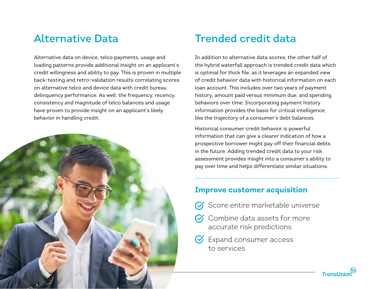Alternative data on device, telco payments, usage and loading patterns provide additional insight on an applicant's credit willingness and ability to pay. This is proven in multiple back-testing and retro-validation results correlating scores on alternative telco and device data with credit bureau delinquency performance. As well, the frequency, recency, consistency and magnitude of telco balances and usage have proven to provide insight on an applicant's likely behavior in handling credit.



# **Alternative Data Trended credit data**

In addition to alternative data scores, the other half of the hybrid waterfall approach is trended credit data which is optimal for thick file, as it leverages an expanded view of credit behavior data with historical information on each loan account. This includes over two years of payment history, amount paid versus minimum due, and spending behaviors over time. Incorporating payment history information provides the basis for critical intelligence, like the trajectory of a consumer's debt balances.

Historical consumer credit behavior is powerful information that can give a clearer indication of how a prospective borrower might pay off their financial debts in the future. Adding trended credit data to your risk assessment provides insight into a consumer's ability to pay over time and helps differentiate similar situations.

#### **Improve customer acquisition**

- Score entire marketable universe
- $\alpha$  Combine data assets for more accurate risk predictions
- **S** Expand consumer access to services

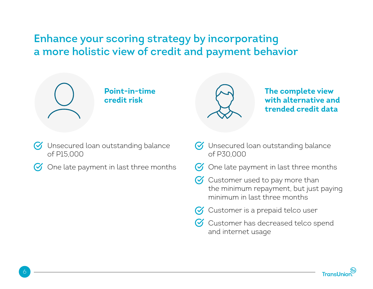# **Enhance your scoring strategy by incorporating a more holistic view of credit and payment behavior**



### **Point-in-time credit risk**



**The complete view with alternative and trended credit data**

- **V** Unsecured loan outstanding balance of P15,000
- $\bigcirc$  One late payment in last three months
- **V** Unsecured loan outstanding balance of P30,000
- $\heartsuit$  One late payment in last three months
- $\heartsuit$  Customer used to pay more than the minimum repayment, but just paying minimum in last three months
- $\sigma$  Customer is a prepaid telco user
- Customer has decreased telco spend and internet usage

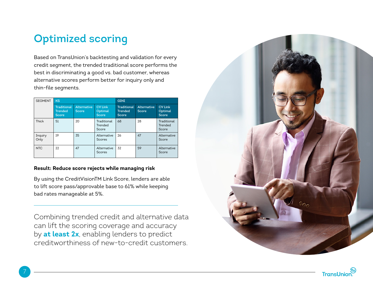# **Optimized scoring**

Based on TransUnion's backtesting and validation for every credit segment, the trended traditional score performs the best in discriminating a good vs. bad customer, whereas alternative scores perform better for inquiry only and thin-file segments.

| <b>SEGMENT</b>  | <b>KS</b>                                            |                                    |                                           | <b>GINI</b>                                          |                             |                                    |
|-----------------|------------------------------------------------------|------------------------------------|-------------------------------------------|------------------------------------------------------|-----------------------------|------------------------------------|
|                 | <b>Traditional</b><br><b>Trended</b><br><b>Score</b> | <b>Alternative</b><br><b>Score</b> | <b>CV Link</b><br>Optimal<br><b>Score</b> | <b>Traditional</b><br><b>Trended</b><br><b>Score</b> | <b>Alternative</b><br>Score | <b>CV Link</b><br>Optimal<br>Score |
| Thick           | 51                                                   | 20                                 | Traditional<br>Trended<br>Score           | 68                                                   | 28                          | Traditional<br>Trended<br>Score    |
| Inquiry<br>Only | 19                                                   | 35                                 | Alternative<br>Scores                     | 26                                                   | 47                          | Alternative<br>Score               |
| <b>NTC</b>      | 22                                                   | 47                                 | Alternative<br>Scores                     | 32                                                   | 59                          | Alternative<br>Score               |

#### **Result: Reduce score rejects while managing risk**

By using the CreditVisionTM Link Score, lenders are able to lift score pass/approvable base to 61% while keeping bad rates manageable at 5%.

Combining trended credit and alternative data can lift the scoring coverage and accuracy by **at least 2x**, enabling lenders to predict creditworthiness of new-to-credit customers.



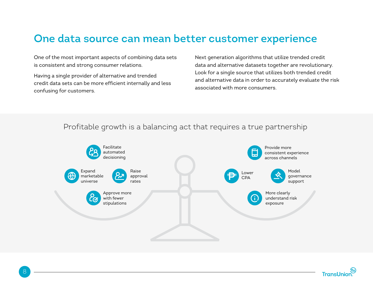# **One data source can mean better customer experience**

One of the most important aspects of combining data sets is consistent and strong consumer relations.

Having a single provider of alternative and trended credit data sets can be more efficient internally and less confusing for customers.

Next generation algorithms that utilize trended credit data and alternative datasets together are revolutionary. Look for a single source that utilizes both trended credit and alternative data in order to accurately evaluate the risk associated with more consumers.

#### Profitable growth is a balancing act that requires a true partnership